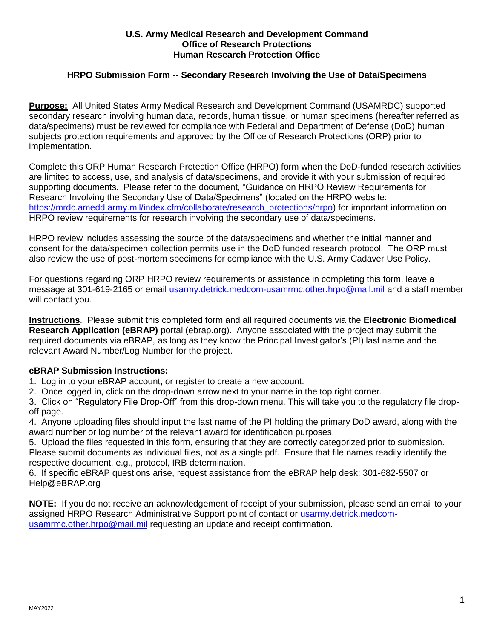### **U.S. Army Medical Research and Development Command Office of Research Protections Human Research Protection Office**

## **HRPO Submission Form -- Secondary Research Involving the Use of Data/Specimens**

**Purpose:** All United States Army Medical Research and Development Command (USAMRDC) supported secondary research involving human data, records, human tissue, or human specimens (hereafter referred as data/specimens) must be reviewed for compliance with Federal and Department of Defense (DoD) human subjects protection requirements and approved by the Office of Research Protections (ORP) prior to implementation.

Complete this ORP Human Research Protection Office (HRPO) form when the DoD-funded research activities are limited to access, use, and analysis of data/specimens, and provide it with your submission of required supporting documents. Please refer to the document, "Guidance on HRPO Review Requirements for Research Involving the Secondary Use of Data/Specimens" (located on the HRPO website: [https://mrdc.amedd.army.mil/index.cfm/collaborate/research\\_protections/hrpo\)](https://mrdc.amedd.army.mil/index.cfm/collaborate/research_protections/hrpo) for important information on HRPO review requirements for research involving the secondary use of data/specimens.

HRPO review includes assessing the source of the data/specimens and whether the initial manner and consent for the data/specimen collection permits use in the DoD funded research protocol. The ORP must also review the use of post-mortem specimens for compliance with the U.S. Army Cadaver Use Policy.

For questions regarding ORP HRPO review requirements or assistance in completing this form, leave a message at 301-619-2165 or email [usarmy.detrick.medcom-usamrmc.other.hrpo@mail.mil](mailto:usarmy.detrick.medcom-usamrmc.other.hrpo@mail.mil) and a staff member will contact you.

**Instructions**. Please submit this completed form and all required documents via the **Electronic Biomedical Research Application (eBRAP)** portal (ebrap.org). Anyone associated with the project may submit the required documents via eBRAP, as long as they know the Principal Investigator's (PI) last name and the relevant Award Number/Log Number for the project.

## **eBRAP Submission Instructions:**

1. Log in to your eBRAP account, or register to create a new account.

2. Once logged in, click on the drop-down arrow next to your name in the top right corner.

3. Click on "Regulatory File Drop-Off" from this drop-down menu. This will take you to the regulatory file dropoff page.

4. Anyone uploading files should input the last name of the PI holding the primary DoD award, along with the award number or log number of the relevant award for identification purposes.

5. Upload the files requested in this form, ensuring that they are correctly categorized prior to submission. Please submit documents as individual files, not as a single pdf. Ensure that file names readily identify the respective document, e.g., protocol, IRB determination.

6. If specific eBRAP questions arise, request assistance from the eBRAP help desk: 301-682-5507 or Help@eBRAP.org

**NOTE:** If you do not receive an acknowledgement of receipt of your submission, please send an email to your assigned HRPO Research Administrative Support point of contact or [usarmy.detrick.medcom](mailto:usarmy.detrick.medcom-usamrmc.other.hrpo@mail.mil)[usamrmc.other.hrpo@mail.mil](mailto:usarmy.detrick.medcom-usamrmc.other.hrpo@mail.mil) requesting an update and receipt confirmation.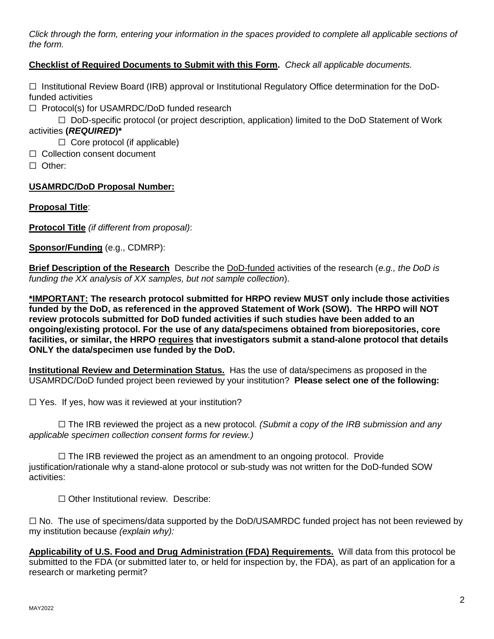*Click through the form, entering your information in the spaces provided to complete all applicable sections of the form.*

# **Checklist of Required Documents to Submit with this Form.** *Check all applicable documents.*

 $\Box$  Institutional Review Board (IRB) approval or Institutional Regulatory Office determination for the DoDfunded activities

☐ Protocol(s) for USAMRDC/DoD funded research

□ DoD-specific protocol (or project description, application) limited to the DoD Statement of Work activities **(***REQUIRED***)\***

 $\Box$  Core protocol (if applicable)

- ☐ Collection consent document
- ☐ Other:

# **USAMRDC/DoD Proposal Number:**

## **Proposal Title**:

**Protocol Title** *(if different from proposal)*:

**Sponsor/Funding** (e.g., CDMRP):

**Brief Description of the Research** Describe the DoD-funded activities of the research (*e.g., the DoD is funding the XX analysis of XX samples, but not sample collection*).

**\*IMPORTANT: The research protocol submitted for HRPO review MUST only include those activities funded by the DoD, as referenced in the approved Statement of Work (SOW). The HRPO will NOT review protocols submitted for DoD funded activities if such studies have been added to an ongoing/existing protocol. For the use of any data/specimens obtained from biorepositories, core facilities, or similar, the HRPO requires that investigators submit a stand-alone protocol that details ONLY the data/specimen use funded by the DoD.**

**Institutional Review and Determination Status.** Has the use of data/specimens as proposed in the USAMRDC/DoD funded project been reviewed by your institution? **Please select one of the following:**

 $\Box$  Yes. If yes, how was it reviewed at your institution?

☐ The IRB reviewed the project as a new protocol. *(Submit a copy of the IRB submission and any applicable specimen collection consent forms for review.)*

 $\Box$  The IRB reviewed the project as an amendment to an ongoing protocol. Provide justification/rationale why a stand-alone protocol or sub-study was not written for the DoD-funded SOW activities:

☐ Other Institutional review. Describe:

 $\Box$  No. The use of specimens/data supported by the DoD/USAMRDC funded project has not been reviewed by my institution because *(explain why):*

**Applicability of U.S. Food and Drug Administration (FDA) Requirements.** Will data from this protocol be submitted to the FDA (or submitted later to, or held for inspection by, the FDA), as part of an application for a research or marketing permit?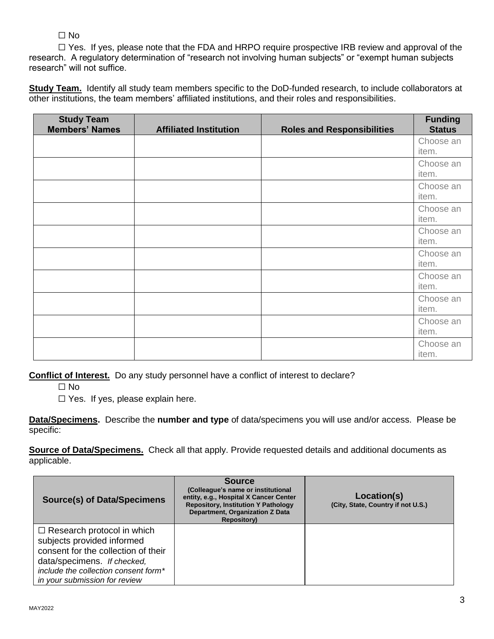☐ No

☐ Yes. If yes, please note that the FDA and HRPO require prospective IRB review and approval of the research. A regulatory determination of "research not involving human subjects" or "exempt human subjects research" will not suffice.

**Study Team.** Identify all study team members specific to the DoD-funded research, to include collaborators at other institutions, the team members' affiliated institutions, and their roles and responsibilities.

| <b>Study Team</b><br><b>Members' Names</b> | <b>Affiliated Institution</b> | <b>Roles and Responsibilities</b> | <b>Funding</b><br><b>Status</b> |
|--------------------------------------------|-------------------------------|-----------------------------------|---------------------------------|
|                                            |                               |                                   | Choose an<br>item.              |
|                                            |                               |                                   | Choose an<br>item.              |
|                                            |                               |                                   | Choose an<br>item.              |
|                                            |                               |                                   | Choose an<br>item.              |
|                                            |                               |                                   | Choose an<br>item.              |
|                                            |                               |                                   | Choose an<br>item.              |
|                                            |                               |                                   | Choose an<br>item.              |
|                                            |                               |                                   | Choose an<br>item.              |
|                                            |                               |                                   | Choose an<br>item.              |
|                                            |                               |                                   | Choose an<br>item.              |

**Conflict of Interest.** Do any study personnel have a conflict of interest to declare?

☐ No

 $\Box$  Yes. If yes, please explain here.

**Data/Specimens.** Describe the **number and type** of data/specimens you will use and/or access. Please be specific:

**Source of Data/Specimens.** Check all that apply. Provide requested details and additional documents as applicable.

| <b>Source(s) of Data/Specimens</b>                                                                                                                                                                             | <b>Source</b><br>(Colleague's name or institutional<br>entity, e.g., Hospital X Cancer Center<br><b>Repository, Institution Y Pathology</b><br>Department, Organization Z Data<br><b>Repository</b> | Location(s)<br>(City, State, Country if not U.S.) |
|----------------------------------------------------------------------------------------------------------------------------------------------------------------------------------------------------------------|-----------------------------------------------------------------------------------------------------------------------------------------------------------------------------------------------------|---------------------------------------------------|
| $\Box$ Research protocol in which<br>subjects provided informed<br>consent for the collection of their<br>data/specimens. If checked,<br>include the collection consent form*<br>in your submission for review |                                                                                                                                                                                                     |                                                   |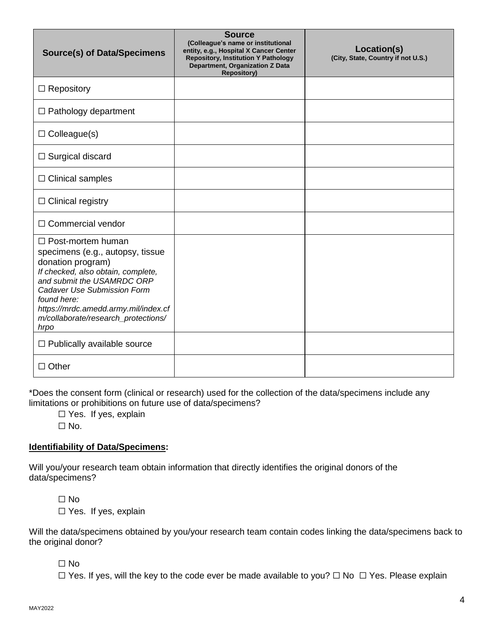| <b>Source(s) of Data/Specimens</b>                                                                                                                                                                                                                                                                | <b>Source</b><br>(Colleague's name or institutional<br>entity, e.g., Hospital X Cancer Center<br><b>Repository, Institution Y Pathology</b><br>Department, Organization Z Data<br><b>Repository)</b> | Location(s)<br>(City, State, Country if not U.S.) |
|---------------------------------------------------------------------------------------------------------------------------------------------------------------------------------------------------------------------------------------------------------------------------------------------------|------------------------------------------------------------------------------------------------------------------------------------------------------------------------------------------------------|---------------------------------------------------|
| $\Box$ Repository                                                                                                                                                                                                                                                                                 |                                                                                                                                                                                                      |                                                   |
| $\Box$ Pathology department                                                                                                                                                                                                                                                                       |                                                                                                                                                                                                      |                                                   |
| $\Box$ Colleague(s)                                                                                                                                                                                                                                                                               |                                                                                                                                                                                                      |                                                   |
| $\Box$ Surgical discard                                                                                                                                                                                                                                                                           |                                                                                                                                                                                                      |                                                   |
| $\Box$ Clinical samples                                                                                                                                                                                                                                                                           |                                                                                                                                                                                                      |                                                   |
| $\Box$ Clinical registry                                                                                                                                                                                                                                                                          |                                                                                                                                                                                                      |                                                   |
| $\Box$ Commercial vendor                                                                                                                                                                                                                                                                          |                                                                                                                                                                                                      |                                                   |
| $\Box$ Post-mortem human<br>specimens (e.g., autopsy, tissue<br>donation program)<br>If checked, also obtain, complete,<br>and submit the USAMRDC ORP<br><b>Cadaver Use Submission Form</b><br>found here:<br>https://mrdc.amedd.army.mil/index.cf<br>m/collaborate/research_protections/<br>hrpo |                                                                                                                                                                                                      |                                                   |
| $\Box$ Publically available source                                                                                                                                                                                                                                                                |                                                                                                                                                                                                      |                                                   |
| $\Box$ Other                                                                                                                                                                                                                                                                                      |                                                                                                                                                                                                      |                                                   |

\*Does the consent form (clinical or research) used for the collection of the data/specimens include any limitations or prohibitions on future use of data/specimens?

□ Yes. If yes, explain

 $\square$  No.

## **Identifiability of Data/Specimens:**

Will you/your research team obtain information that directly identifies the original donors of the data/specimens?

☐ No

□ Yes. If yes, explain

Will the data/specimens obtained by you/your research team contain codes linking the data/specimens back to the original donor?

☐ No

☐ Yes. If yes, will the key to the code ever be made available to you? ☐ No ☐ Yes. Please explain